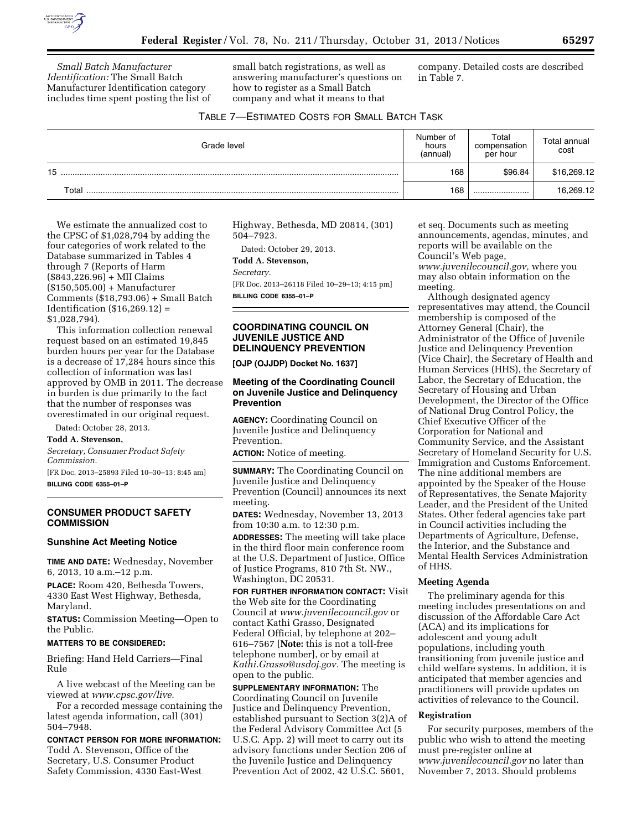

*Small Batch Manufacturer Identification:* The Small Batch Manufacturer Identification category includes time spent posting the list of

small batch registrations, as well as answering manufacturer's questions on how to register as a Small Batch company and what it means to that

company. Detailed costs are described in Table 7.

| TABLE 7—ESTIMATED COSTS FOR SMALL BATCH TASK |  |  |  |  |
|----------------------------------------------|--|--|--|--|
|----------------------------------------------|--|--|--|--|

| Grade level | Number of<br>hours<br>(annual) | Total<br>compensation<br>per hour | Total annual<br>cost |
|-------------|--------------------------------|-----------------------------------|----------------------|
| 15          | 168                            | \$96.84                           | \$16,269.12          |
| Total       | 168                            |                                   | 16,269.12            |

We estimate the annualized cost to the CPSC of \$1,028,794 by adding the four categories of work related to the Database summarized in Tables 4 through 7 (Reports of Harm (\$843,226.96) + MII Claims (\$150,505.00) + Manufacturer Comments (\$18,793.06) + Small Batch Identification  $(\$16,269.12) =$ \$1,028,794).

This information collection renewal request based on an estimated 19,845 burden hours per year for the Database is a decrease of 17,284 hours since this collection of information was last approved by OMB in 2011. The decrease in burden is due primarily to the fact that the number of responses was overestimated in our original request.

Dated: October 28, 2013.

#### **Todd A. Stevenson,**

*Secretary, Consumer Product Safety Commission.* 

[FR Doc. 2013–25893 Filed 10–30–13; 8:45 am] **BILLING CODE 6355–01–P** 

## **CONSUMER PRODUCT SAFETY COMMISSION**

### **Sunshine Act Meeting Notice**

**TIME AND DATE:** Wednesday, November 6, 2013, 10 a.m.–12 p.m.

**PLACE:** Room 420, Bethesda Towers, 4330 East West Highway, Bethesda, Maryland.

**STATUS:** Commission Meeting—Open to the Public.

#### **MATTERS TO BE CONSIDERED:**

Briefing: Hand Held Carriers—Final Rule

A live webcast of the Meeting can be viewed at *[www.cpsc.gov/live](http://www.cpsc.gov/live)*.

For a recorded message containing the latest agenda information, call (301) 504–7948.

### **CONTACT PERSON FOR MORE INFORMATION:**

Todd A. Stevenson, Office of the Secretary, U.S. Consumer Product Safety Commission, 4330 East-West Highway, Bethesda, MD 20814, (301) 504–7923.

Dated: October 29, 2013.

**Todd A. Stevenson,** 

*Secretary.* 

[FR Doc. 2013–26118 Filed 10–29–13; 4:15 pm] **BILLING CODE 6355–01–P** 

## **COORDINATING COUNCIL ON JUVENILE JUSTICE AND DELINQUENCY PREVENTION**

**[OJP (OJJDP) Docket No. 1637]** 

## **Meeting of the Coordinating Council on Juvenile Justice and Delinquency Prevention**

**AGENCY:** Coordinating Council on Juvenile Justice and Delinquency Prevention.

**ACTION:** Notice of meeting.

**SUMMARY:** The Coordinating Council on Juvenile Justice and Delinquency Prevention (Council) announces its next meeting.

**DATES:** Wednesday, November 13, 2013 from 10:30 a.m. to 12:30 p.m.

**ADDRESSES:** The meeting will take place in the third floor main conference room at the U.S. Department of Justice, Office of Justice Programs, 810 7th St. NW., Washington, DC 20531.

**FOR FURTHER INFORMATION CONTACT:** Visit the Web site for the Coordinating Council at *[www.juvenilecouncil.gov](http://www.juvenilecouncil.gov)* or contact Kathi Grasso, Designated Federal Official, by telephone at 202– 616–7567 [**Note:** this is not a toll-free telephone number], or by email at *[Kathi.Grasso@usdoj.gov.](mailto:Kathi.Grasso@usdoj.gov)* The meeting is open to the public.

**SUPPLEMENTARY INFORMATION:** The Coordinating Council on Juvenile Justice and Delinquency Prevention, established pursuant to Section 3(2)A of the Federal Advisory Committee Act (5 U.S.C. App. 2) will meet to carry out its advisory functions under Section 206 of the Juvenile Justice and Delinquency Prevention Act of 2002, 42 U.S.C. 5601,

et seq. Documents such as meeting announcements, agendas, minutes, and reports will be available on the Council's Web page, *[www.juvenilecouncil.gov,](http://www.juvenilecouncil.gov)* where you may also obtain information on the meeting.

Although designated agency representatives may attend, the Council membership is composed of the Attorney General (Chair), the Administrator of the Office of Juvenile Justice and Delinquency Prevention (Vice Chair), the Secretary of Health and Human Services (HHS), the Secretary of Labor, the Secretary of Education, the Secretary of Housing and Urban Development, the Director of the Office of National Drug Control Policy, the Chief Executive Officer of the Corporation for National and Community Service, and the Assistant Secretary of Homeland Security for U.S. Immigration and Customs Enforcement. The nine additional members are appointed by the Speaker of the House of Representatives, the Senate Majority Leader, and the President of the United States. Other federal agencies take part in Council activities including the Departments of Agriculture, Defense, the Interior, and the Substance and Mental Health Services Administration of HHS.

### **Meeting Agenda**

The preliminary agenda for this meeting includes presentations on and discussion of the Affordable Care Act (ACA) and its implications for adolescent and young adult populations, including youth transitioning from juvenile justice and child welfare systems. In addition, it is anticipated that member agencies and practitioners will provide updates on activities of relevance to the Council.

#### **Registration**

For security purposes, members of the public who wish to attend the meeting must pre-register online at *[www.juvenilecouncil.gov](http://www.juvenilecouncil.gov)* no later than November 7, 2013. Should problems